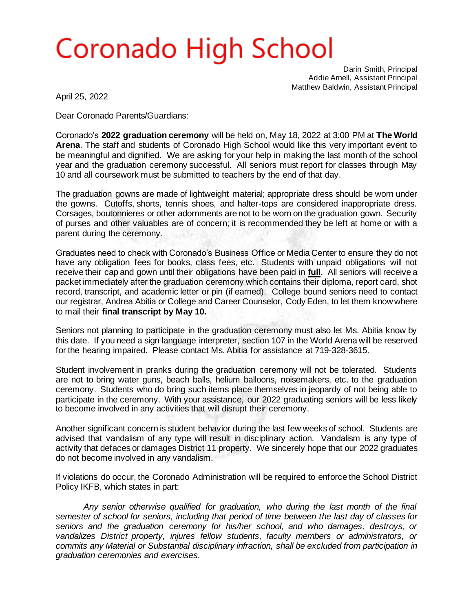# **Coronado High School**

Darin Smith, Principal Addie Arnell, Assistant Principal Matthew Baldwin, Assistant Principal

April 25, 2022

Dear Coronado Parents/Guardians:

Coronado's **2022 graduation ceremony** will be held on, May 18, 2022 at 3:00 PM at **The World Arena**. The staff and students of Coronado High School would like this very important event to be meaningful and dignified. We are asking for your help in making the last month of the school year and the graduation ceremony successful. All seniors must report for classes through May 10 and all coursework must be submitted to teachers by the end of that day.

The graduation gowns are made of lightweight material; appropriate dress should be worn under the gowns. Cutoffs, shorts, tennis shoes, and halter-tops are considered inappropriate dress. Corsages, boutonnieres or other adornments are not to be worn on the graduation gown. Security of purses and other valuables are of concern; it is recommended they be left at home or with a parent during the ceremony.

Graduates need to check with Coronado's Business Office or Media Center to ensure they do not have any obligation fees for books, class fees, etc. Students with unpaid obligations will not receive their cap and gown until their obligations have been paid in **full**. All seniors will receive a packet immediately after the graduation ceremony which contains their diploma, report card, shot record, transcript, and academic letter or pin (if earned). College bound seniors need to contact our registrar, Andrea Abitia or College and Career Counselor, Cody Eden, to let them know where to mail their **final transcript by May 10.**

Seniors not planning to participate in the graduation ceremony must also let Ms. Abitia know by this date. If you need a sign language interpreter, section 107 in the World Arena will be reserved for the hearing impaired. Please contact Ms. Abitia for assistance at 719-328-3615.

Student involvement in pranks during the graduation ceremony will not be tolerated. Students are not to bring water guns, beach balls, helium balloons, noisemakers, etc. to the graduation ceremony. Students who do bring such items place themselves in jeopardy of not being able to participate in the ceremony. With your assistance, our 2022 graduating seniors will be less likely to become involved in any activities that will disrupt their ceremony.

Another significant concern is student behavior during the last few weeks of school. Students are advised that vandalism of any type will result in disciplinary action. Vandalism is any type of activity that defaces or damages District 11 property. We sincerely hope that our 2022 graduates do not become involved in any vandalism.

If violations do occur, the Coronado Administration will be required to enforce the School District Policy IKFB, which states in part:

*Any senior otherwise qualified for graduation, who during the last month of the final semester of school for seniors, including that period of time between the last day of classes for seniors and the graduation ceremony for his/her school, and who damages, destroys, or vandalizes District property, injures fellow students, faculty members or administrators, or commits any Material or Substantial disciplinary infraction, shall be excluded from participation in graduation ceremonies and exercises.*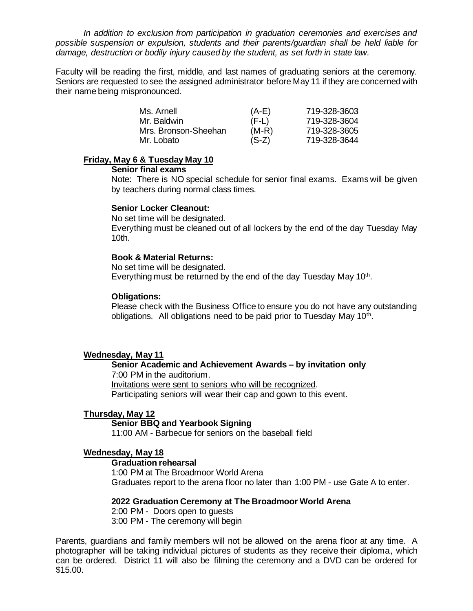*In addition to exclusion from participation in graduation ceremonies and exercises and possible suspension or expulsion, students and their parents/guardian shall be held liable for damage, destruction or bodily injury caused by the student, as set forth in state law.* 

Faculty will be reading the first, middle, and last names of graduating seniors at the ceremony. Seniors are requested to see the assigned administrator before May 11 if they are concerned with their name being mispronounced.

| Ms. Arnell           | $(A-E)$ | 719-328-3603 |
|----------------------|---------|--------------|
| Mr. Baldwin          | $(F-L)$ | 719-328-3604 |
| Mrs. Bronson-Sheehan | $(M-R)$ | 719-328-3605 |
| Mr. Lobato           | $(S-Z)$ | 719-328-3644 |

#### **Friday, May 6 & Tuesday May 10**

**Senior final exams** 

Note: There is NO special schedule for senior final exams. Exams will be given by teachers during normal class times.

### **Senior Locker Cleanout:**

No set time will be designated. Everything must be cleaned out of all lockers by the end of the day Tuesday May 10th.

#### **Book & Material Returns:**

No set time will be designated. Everything must be returned by the end of the day Tuesday May 10<sup>th</sup>.

### **Obligations:**

Please check with the Business Office to ensure you do not have any outstanding obligations. All obligations need to be paid prior to Tuesday May 10<sup>th</sup>.

### **Wednesday, May 11**

#### **Senior Academic and Achievement Awards – by invitation only** 7:00 PM in the auditorium.

Invitations were sent to seniors who will be recognized. Participating seniors will wear their cap and gown to this event.

### **Thursday, May 12**

### **Senior BBQ and Yearbook Signing**

11:00 AM - Barbecue for seniors on the baseball field

### **Wednesday, May 18**

### **Graduation rehearsal**

1:00 PM at The Broadmoor World Arena Graduates report to the arena floor no later than 1:00 PM - use Gate A to enter.

#### **2022 Graduation Ceremony at The Broadmoor World Arena**

2:00 PM - Doors open to guests

3:00 PM - The ceremony will begin

Parents, guardians and family members will not be allowed on the arena floor at any time. A photographer will be taking individual pictures of students as they receive their diploma, which can be ordered. District 11 will also be filming the ceremony and a DVD can be ordered for \$15.00.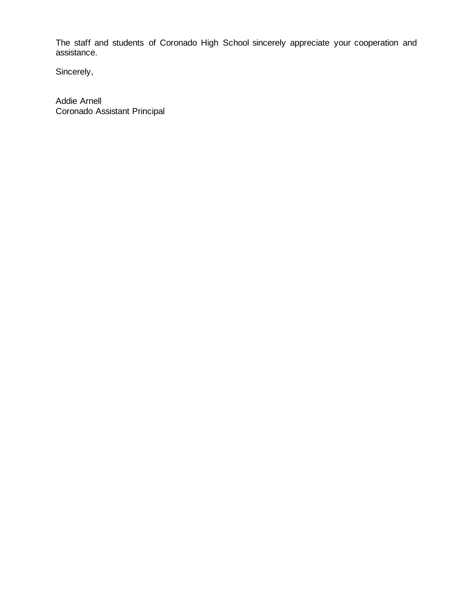The staff and students of Coronado High School sincerely appreciate your cooperation and assistance.

Sincerely,

Addie Arnell Coronado Assistant Principal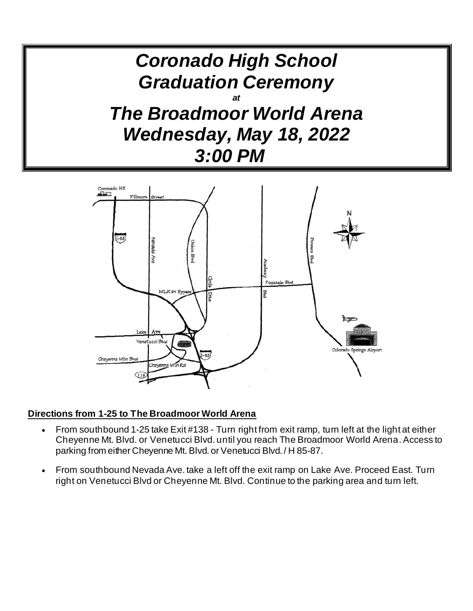



### **Directions from 1-25 to The Broadmoor World Arena**

- From southbound 1-25 take Exit #138 Turn right from exit ramp, turn left at the light at either Cheyenne Mt. Blvd. or Venetucci Blvd. until you reach The Broadmoor World Arena. Access to parking from either Cheyenne Mt. Blvd. or Venetucci Blvd. / H 85-87.
- From southbound Nevada Ave. take a left off the exit ramp on Lake Ave. Proceed East. Turn right on Venetucci Blvd or Cheyenne Mt. Blvd. Continue to the parking area and turn left.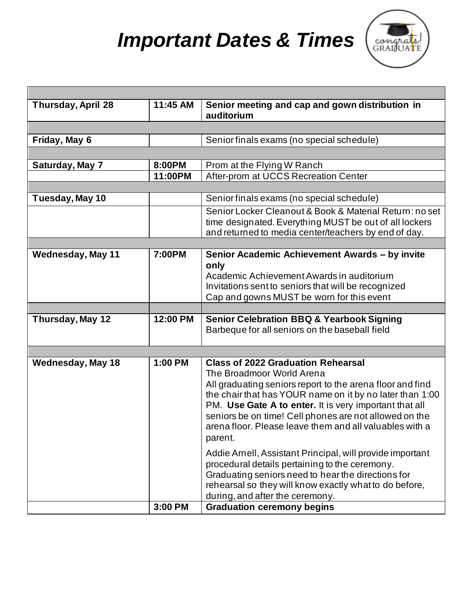# *Important Dates & Times*



| <b>Thursday, April 28</b> | 11:45 AM | Senior meeting and cap and gown distribution in                                                                                                                                                                                                                                                                                                                                           |  |  |
|---------------------------|----------|-------------------------------------------------------------------------------------------------------------------------------------------------------------------------------------------------------------------------------------------------------------------------------------------------------------------------------------------------------------------------------------------|--|--|
|                           |          | auditorium                                                                                                                                                                                                                                                                                                                                                                                |  |  |
|                           |          |                                                                                                                                                                                                                                                                                                                                                                                           |  |  |
| Friday, May 6             |          | Senior finals exams (no special schedule)                                                                                                                                                                                                                                                                                                                                                 |  |  |
|                           |          |                                                                                                                                                                                                                                                                                                                                                                                           |  |  |
| Saturday, May 7           | 8:00PM   | Prom at the Flying W Ranch                                                                                                                                                                                                                                                                                                                                                                |  |  |
|                           | 11:00PM  | After-prom at UCCS Recreation Center                                                                                                                                                                                                                                                                                                                                                      |  |  |
|                           |          |                                                                                                                                                                                                                                                                                                                                                                                           |  |  |
| Tuesday, May 10           |          | Senior finals exams (no special schedule)                                                                                                                                                                                                                                                                                                                                                 |  |  |
|                           |          | Senior Locker Cleanout & Book & Material Return; no set                                                                                                                                                                                                                                                                                                                                   |  |  |
|                           |          | time designated. Everything MUST be out of all lockers                                                                                                                                                                                                                                                                                                                                    |  |  |
|                           |          | and returned to media center/teachers by end of day.                                                                                                                                                                                                                                                                                                                                      |  |  |
|                           |          |                                                                                                                                                                                                                                                                                                                                                                                           |  |  |
| <b>Wednesday, May 11</b>  | 7:00PM   | Senior Academic Achievement Awards - by invite<br>only<br>Academic Achievement Awards in auditorium<br>Invitations sent to seniors that will be recognized<br>Cap and gowns MUST be worn for this event                                                                                                                                                                                   |  |  |
|                           |          |                                                                                                                                                                                                                                                                                                                                                                                           |  |  |
| Thursday, May 12          | 12:00 PM | <b>Senior Celebration BBQ &amp; Yearbook Signing</b><br>Barbeque for all seniors on the baseball field                                                                                                                                                                                                                                                                                    |  |  |
|                           |          |                                                                                                                                                                                                                                                                                                                                                                                           |  |  |
| <b>Wednesday, May 18</b>  | 1:00 PM  | <b>Class of 2022 Graduation Rehearsal</b><br>The Broadmoor World Arena<br>All graduating seniors report to the arena floor and find<br>the chair that has YOUR name on it by no later than 1:00<br>PM. Use Gate A to enter. It is very important that all<br>seniors be on time! Cell phones are not allowed on the<br>arena floor. Please leave them and all valuables with a<br>parent. |  |  |
|                           | 3:00 PM  | Addie Arnell, Assistant Principal, will provide important<br>procedural details pertaining to the ceremony.<br>Graduating seniors need to hear the directions for<br>rehearsal so they will know exactly what to do before,<br>during, and after the ceremony.<br><b>Graduation ceremony begins</b>                                                                                       |  |  |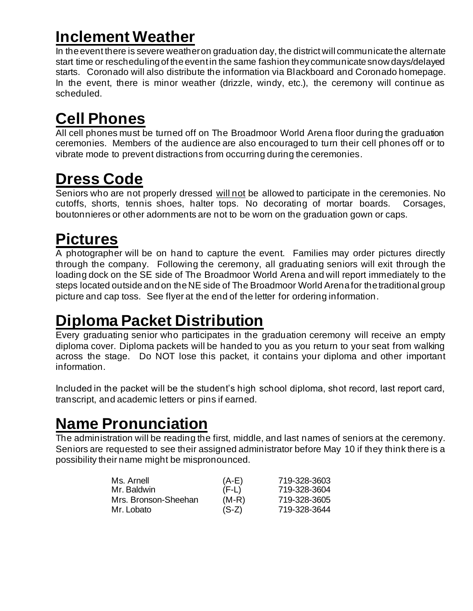# **Inclement Weather**

In the event there is severe weather on graduation day, the district will communicate the alternate start time or rescheduling of the eventin the same fashion they communicate snow days/delayed starts. Coronado will also distribute the information via Blackboard and Coronado homepage. In the event, there is minor weather (drizzle, windy, etc.), the ceremony will continue as scheduled.

# **Cell Phones**

All cell phones must be turned off on The Broadmoor World Arena floor during the graduation ceremonies. Members of the audience are also encouraged to turn their cell phones off or to vibrate mode to prevent distractions from occurring during the ceremonies.

# **Dress Code**

Seniors who are not properly dressed will not be allowed to participate in the ceremonies. No cutoffs, shorts, tennis shoes, halter tops. No decorating of mortar boards. Corsages, boutonnieres or other adornments are not to be worn on the graduation gown or caps.

### **Pictures**

A photographer will be on hand to capture the event. Families may order pictures directly through the company. Following the ceremony, all graduating seniors will exit through the loading dock on the SE side of The Broadmoor World Arena and will report immediately to the steps located outside and on the NE side of The Broadmoor World Arena for the traditional group picture and cap toss. See flyer at the end of the letter for ordering information.

## **Diploma Packet Distribution**

Every graduating senior who participates in the graduation ceremony will receive an empty diploma cover. Diploma packets will be handed to you as you return to your seat from walking across the stage. Do NOT lose this packet, it contains your diploma and other important information.

Included in the packet will be the student's high school diploma, shot record, last report card, transcript, and academic letters or pins if earned.

## **Name Pronunciation**

The administration will be reading the first, middle, and last names of seniors at the ceremony. Seniors are requested to see their assigned administrator before May 10 if they think there is a possibility their name might be mispronounced.

| Ms. Arnell           | $(A-E)$ | 719-328-3603 |
|----------------------|---------|--------------|
| Mr. Baldwin          | $(F-L)$ | 719-328-3604 |
| Mrs. Bronson-Sheehan | $(M-R)$ | 719-328-3605 |
| Mr. Lobato           | $(S-Z)$ | 719-328-3644 |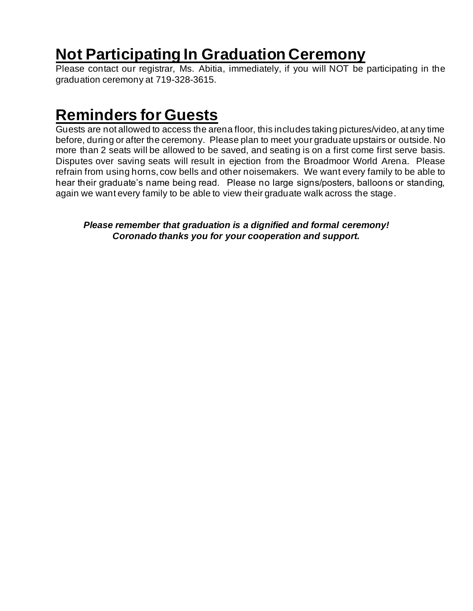### **Not Participating In Graduation Ceremony**

Please contact our registrar, Ms. Abitia, immediately, if you will NOT be participating in the graduation ceremony at 719-328-3615.

### **Reminders for Guests**

Guests are not allowed to access the arena floor, this includes taking pictures/video, at any time before, during or after the ceremony. Please plan to meet your graduate upstairs or outside. No more than 2 seats will be allowed to be saved, and seating is on a first come first serve basis. Disputes over saving seats will result in ejection from the Broadmoor World Arena. Please refrain from using horns, cow bells and other noisemakers. We want every family to be able to hear their graduate's name being read. Please no large signs/posters, balloons or standing, again we want every family to be able to view their graduate walk across the stage.

*Please remember that graduation is a dignified and formal ceremony! Coronado thanks you for your cooperation and support.*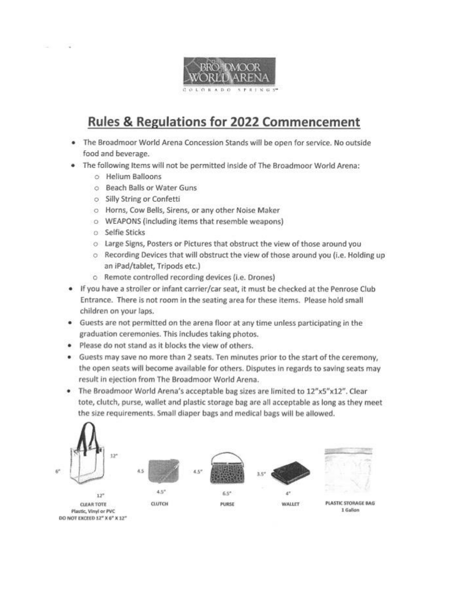

### **Rules & Regulations for 2022 Commencement**

- . The Broadmoor World Arena Concession Stands will be open for service. No outside food and beverage.
- . The following Items will not be permitted inside of The Broadmoor World Arena:
	- O Helium Balloons
	- O Beach Balls or Water Guns
	- o Silly String or Confetti
	- o Horns, Cow Bells, Sirens, or any other Noise Maker
	- o WEAPONS (including items that resemble weapons)
	- o Selfie Sticks
	- o Large Signs, Posters or Pictures that obstruct the view of those around you
	- o Recording Devices that will obstruct the view of those around you (i.e. Holding up an iPad/tablet, Tripods etc.)
	- o Remote controlled recording devices (i.e. Drones)
- If you have a stroller or infant carrier/car seat, it must be checked at the Penrose Club Entrance. There is not room in the seating area for these items. Please hold small children on your laps.
- Guests are not permitted on the arena floor at any time unless participating in the graduation ceremonies. This includes taking photos.
- · Please do not stand as it blocks the view of others.
- . Guests may save no more than 2 seats. Ten minutes prior to the start of the ceremony, the open seats will become available for others. Disputes in regards to saving seats may result in ejection from The Broadmoor World Arena.
- . The Broadmoor World Arena's acceptable bag sizes are limited to 12"x5"x12". Clear tote, clutch, purse, wallet and plastic storage bag are all acceptable as long as they meet the size requirements. Small diaper bags and medical bags will be allowed.

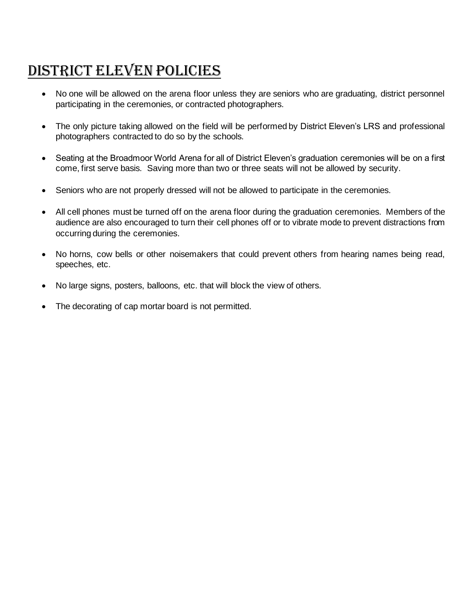### District eleven policies

- No one will be allowed on the arena floor unless they are seniors who are graduating, district personnel participating in the ceremonies, or contracted photographers.
- The only picture taking allowed on the field will be performed by District Eleven's LRS and professional photographers contracted to do so by the schools.
- Seating at the Broadmoor World Arena for all of District Eleven's graduation ceremonies will be on a first come, first serve basis. Saving more than two or three seats will not be allowed by security.
- Seniors who are not properly dressed will not be allowed to participate in the ceremonies.
- All cell phones must be turned off on the arena floor during the graduation ceremonies. Members of the audience are also encouraged to turn their cell phones off or to vibrate mode to prevent distractions from occurring during the ceremonies.
- No horns, cow bells or other noisemakers that could prevent others from hearing names being read, speeches, etc.
- No large signs, posters, balloons, etc. that will block the view of others.
- The decorating of cap mortar board is not permitted.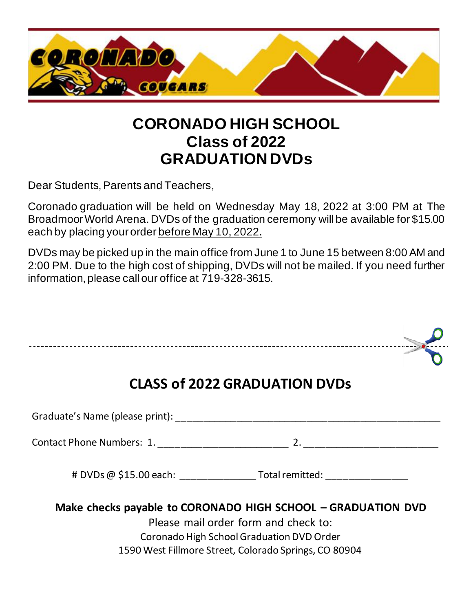

### **CORONADO HIGH SCHOOL Class of 2022 GRADUATION DVDs**

Dear Students, Parents and Teachers,

Coronado graduation will be held on Wednesday May 18, 2022 at 3:00 PM at The Broadmoor World Arena. DVDs of the graduation ceremony will be available for \$15.00 each by placing your order before May 10, 2022.

DVDs may be picked up in the main office from June 1 to June 15 between 8:00 AM and 2:00 PM. Due to the high cost of shipping, DVDs will not be mailed. If you need further information, please call our office at 719-328-3615.

| <b>CLASS of 2022 GRADUATION DVDs</b>                                                                                                                                                                       |
|------------------------------------------------------------------------------------------------------------------------------------------------------------------------------------------------------------|
| Graduate's Name (please print): Cambridge Contractor Contractor Contractor Contractor Contractor Contractor Co                                                                                             |
|                                                                                                                                                                                                            |
| $\#$ DVDs $@$ \$15.00 each: $\qquad \qquad$ Total remitted:                                                                                                                                                |
| Make checks payable to CORONADO HIGH SCHOOL - GRADUATION DVD<br>Please mail order form and check to:<br>Coronado High School Graduation DVD Order<br>1590 West Fillmore Street, Colorado Springs, CO 80904 |